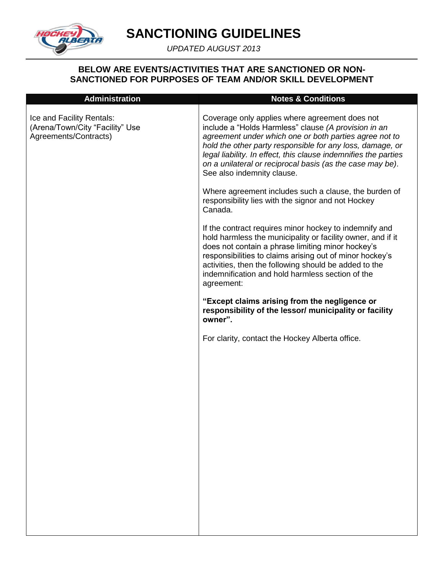

*UPDATED AUGUST 2013*

#### **BELOW ARE EVENTS/ACTIVITIES THAT ARE SANCTIONED OR NON-SANCTIONED FOR PURPOSES OF TEAM AND/OR SKILL DEVELOPMENT**

| <b>Administration</b>                                                                 | <b>Notes &amp; Conditions</b>                                                                                                                                                                                                                                                                                                                                                               |
|---------------------------------------------------------------------------------------|---------------------------------------------------------------------------------------------------------------------------------------------------------------------------------------------------------------------------------------------------------------------------------------------------------------------------------------------------------------------------------------------|
| Ice and Facility Rentals:<br>(Arena/Town/City "Facility" Use<br>Agreements/Contracts) | Coverage only applies where agreement does not<br>include a "Holds Harmless" clause (A provision in an<br>agreement under which one or both parties agree not to<br>hold the other party responsible for any loss, damage, or<br>legal liability. In effect, this clause indemnifies the parties<br>on a unilateral or reciprocal basis (as the case may be).<br>See also indemnity clause. |
|                                                                                       | Where agreement includes such a clause, the burden of<br>responsibility lies with the signor and not Hockey<br>Canada.                                                                                                                                                                                                                                                                      |
|                                                                                       | If the contract requires minor hockey to indemnify and<br>hold harmless the municipality or facility owner, and if it<br>does not contain a phrase limiting minor hockey's<br>responsibilities to claims arising out of minor hockey's<br>activities, then the following should be added to the<br>indemnification and hold harmless section of the<br>agreement:                           |
|                                                                                       | "Except claims arising from the negligence or<br>responsibility of the lessor/ municipality or facility<br>owner".                                                                                                                                                                                                                                                                          |
|                                                                                       | For clarity, contact the Hockey Alberta office.                                                                                                                                                                                                                                                                                                                                             |
|                                                                                       |                                                                                                                                                                                                                                                                                                                                                                                             |
|                                                                                       |                                                                                                                                                                                                                                                                                                                                                                                             |
|                                                                                       |                                                                                                                                                                                                                                                                                                                                                                                             |
|                                                                                       |                                                                                                                                                                                                                                                                                                                                                                                             |
|                                                                                       |                                                                                                                                                                                                                                                                                                                                                                                             |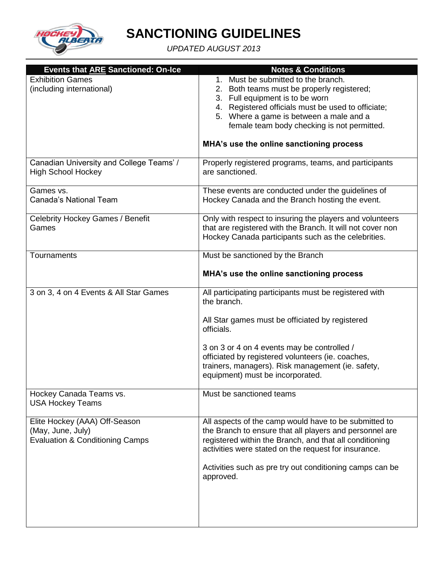

| <b>Events that ARE Sanctioned: On-Ice</b>                                                        | <b>Notes &amp; Conditions</b>                                                                                                                                                                                                                                                                                                       |
|--------------------------------------------------------------------------------------------------|-------------------------------------------------------------------------------------------------------------------------------------------------------------------------------------------------------------------------------------------------------------------------------------------------------------------------------------|
| <b>Exhibition Games</b><br>(including international)                                             | 1. Must be submitted to the branch.<br>2. Both teams must be properly registered;<br>3. Full equipment is to be worn<br>4. Registered officials must be used to officiate;<br>5. Where a game is between a male and a<br>female team body checking is not permitted.<br>MHA's use the online sanctioning process                    |
| Canadian University and College Teams' /<br><b>High School Hockey</b>                            | Properly registered programs, teams, and participants<br>are sanctioned.                                                                                                                                                                                                                                                            |
| Games vs.<br>Canada's National Team                                                              | These events are conducted under the guidelines of<br>Hockey Canada and the Branch hosting the event.                                                                                                                                                                                                                               |
| <b>Celebrity Hockey Games / Benefit</b><br>Games                                                 | Only with respect to insuring the players and volunteers<br>that are registered with the Branch. It will not cover non<br>Hockey Canada participants such as the celebrities.                                                                                                                                                       |
| Tournaments                                                                                      | Must be sanctioned by the Branch<br>MHA's use the online sanctioning process                                                                                                                                                                                                                                                        |
| 3 on 3, 4 on 4 Events & All Star Games                                                           | All participating participants must be registered with<br>the branch.<br>All Star games must be officiated by registered<br>officials.<br>3 on 3 or 4 on 4 events may be controlled /<br>officiated by registered volunteers (ie. coaches,<br>trainers, managers). Risk management (ie. safety,<br>equipment) must be incorporated. |
| Hockey Canada Teams vs.<br><b>USA Hockey Teams</b>                                               | Must be sanctioned teams                                                                                                                                                                                                                                                                                                            |
| Elite Hockey (AAA) Off-Season<br>(May, June, July)<br><b>Evaluation &amp; Conditioning Camps</b> | All aspects of the camp would have to be submitted to<br>the Branch to ensure that all players and personnel are<br>registered within the Branch, and that all conditioning<br>activities were stated on the request for insurance.<br>Activities such as pre try out conditioning camps can be<br>approved.                        |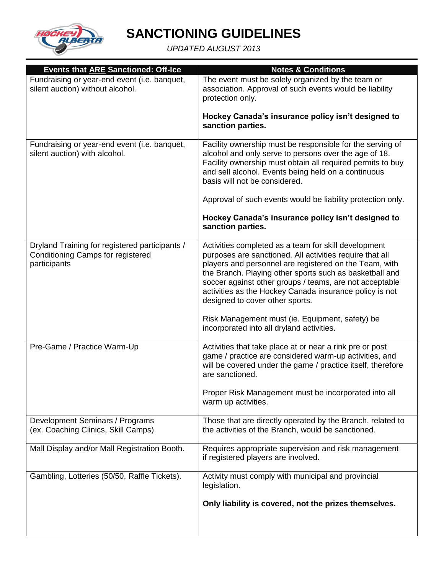

| <b>Events that ARE Sanctioned: Off-Ice</b>                                                                 | <b>Notes &amp; Conditions</b>                                                                                                                                                                                                                                                                                                                                                                                                                     |
|------------------------------------------------------------------------------------------------------------|---------------------------------------------------------------------------------------------------------------------------------------------------------------------------------------------------------------------------------------------------------------------------------------------------------------------------------------------------------------------------------------------------------------------------------------------------|
| Fundraising or year-end event (i.e. banquet,<br>silent auction) without alcohol.                           | The event must be solely organized by the team or<br>association. Approval of such events would be liability<br>protection only.                                                                                                                                                                                                                                                                                                                  |
|                                                                                                            | Hockey Canada's insurance policy isn't designed to<br>sanction parties.                                                                                                                                                                                                                                                                                                                                                                           |
| Fundraising or year-end event (i.e. banquet,<br>silent auction) with alcohol.                              | Facility ownership must be responsible for the serving of<br>alcohol and only serve to persons over the age of 18.<br>Facility ownership must obtain all required permits to buy<br>and sell alcohol. Events being held on a continuous<br>basis will not be considered.                                                                                                                                                                          |
|                                                                                                            | Approval of such events would be liability protection only.                                                                                                                                                                                                                                                                                                                                                                                       |
|                                                                                                            | Hockey Canada's insurance policy isn't designed to<br>sanction parties.                                                                                                                                                                                                                                                                                                                                                                           |
| Dryland Training for registered participants /<br><b>Conditioning Camps for registered</b><br>participants | Activities completed as a team for skill development<br>purposes are sanctioned. All activities require that all<br>players and personnel are registered on the Team, with<br>the Branch. Playing other sports such as basketball and<br>soccer against other groups / teams, are not acceptable<br>activities as the Hockey Canada insurance policy is not<br>designed to cover other sports.<br>Risk Management must (ie. Equipment, safety) be |
|                                                                                                            | incorporated into all dryland activities.                                                                                                                                                                                                                                                                                                                                                                                                         |
| Pre-Game / Practice Warm-Up                                                                                | Activities that take place at or near a rink pre or post<br>game / practice are considered warm-up activities, and<br>will be covered under the game / practice itself, therefore<br>are sanctioned.                                                                                                                                                                                                                                              |
|                                                                                                            | Proper Risk Management must be incorporated into all<br>warm up activities.                                                                                                                                                                                                                                                                                                                                                                       |
| Development Seminars / Programs<br>(ex. Coaching Clinics, Skill Camps)                                     | Those that are directly operated by the Branch, related to<br>the activities of the Branch, would be sanctioned.                                                                                                                                                                                                                                                                                                                                  |
| Mall Display and/or Mall Registration Booth.                                                               | Requires appropriate supervision and risk management<br>if registered players are involved.                                                                                                                                                                                                                                                                                                                                                       |
| Gambling, Lotteries (50/50, Raffle Tickets).                                                               | Activity must comply with municipal and provincial<br>legislation.                                                                                                                                                                                                                                                                                                                                                                                |
|                                                                                                            | Only liability is covered, not the prizes themselves.                                                                                                                                                                                                                                                                                                                                                                                             |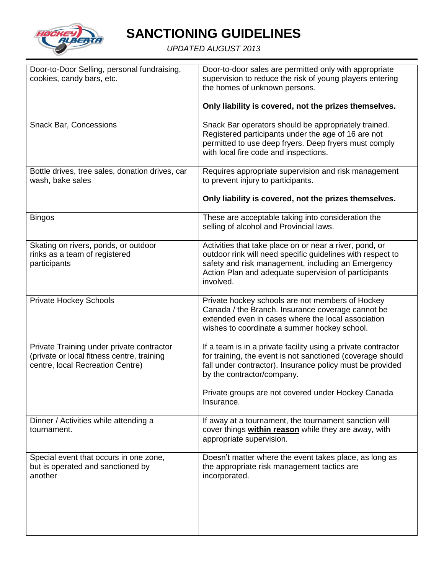

| Door-to-Door Selling, personal fundraising,<br>cookies, candy bars, etc.                                                    | Door-to-door sales are permitted only with appropriate<br>supervision to reduce the risk of young players entering<br>the homes of unknown persons.<br>Only liability is covered, not the prizes themselves.                                                                               |
|-----------------------------------------------------------------------------------------------------------------------------|--------------------------------------------------------------------------------------------------------------------------------------------------------------------------------------------------------------------------------------------------------------------------------------------|
| <b>Snack Bar, Concessions</b>                                                                                               | Snack Bar operators should be appropriately trained.<br>Registered participants under the age of 16 are not<br>permitted to use deep fryers. Deep fryers must comply<br>with local fire code and inspections.                                                                              |
| Bottle drives, tree sales, donation drives, car<br>wash, bake sales                                                         | Requires appropriate supervision and risk management<br>to prevent injury to participants.<br>Only liability is covered, not the prizes themselves.                                                                                                                                        |
| <b>Bingos</b>                                                                                                               | These are acceptable taking into consideration the<br>selling of alcohol and Provincial laws.                                                                                                                                                                                              |
| Skating on rivers, ponds, or outdoor<br>rinks as a team of registered<br>participants                                       | Activities that take place on or near a river, pond, or<br>outdoor rink will need specific guidelines with respect to<br>safety and risk management, including an Emergency<br>Action Plan and adequate supervision of participants<br>involved.                                           |
| <b>Private Hockey Schools</b>                                                                                               | Private hockey schools are not members of Hockey<br>Canada / the Branch. Insurance coverage cannot be<br>extended even in cases where the local association<br>wishes to coordinate a summer hockey school.                                                                                |
| Private Training under private contractor<br>(private or local fitness centre, training<br>centre, local Recreation Centre) | If a team is in a private facility using a private contractor<br>for training, the event is not sanctioned (coverage should<br>fall under contractor). Insurance policy must be provided<br>by the contractor/company.<br>Private groups are not covered under Hockey Canada<br>Insurance. |
| Dinner / Activities while attending a<br>tournament.                                                                        | If away at a tournament, the tournament sanction will<br>cover things within reason while they are away, with<br>appropriate supervision.                                                                                                                                                  |
| Special event that occurs in one zone,<br>but is operated and sanctioned by<br>another                                      | Doesn't matter where the event takes place, as long as<br>the appropriate risk management tactics are<br>incorporated.                                                                                                                                                                     |